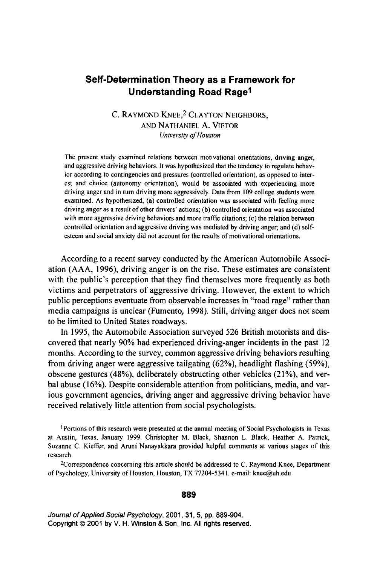# **Self-Determination Theory as a Framework for Understanding Road Rage'**

C. RAYMOND KNEE,<sup>2</sup> CLAYTON NEIGHBORS, AND NATHANIEL A. VIETOR University *of* Houston

The present study examined relations between motivational orientations, driving anger, and aggressive driving behaviors. It was hypothesized that the tendency to regulate behavior according to contingencies and pressures (controlled orientation), as opposed to interest and choice (autonomy orientation), would be associated with experiencing more driving anger and in turn driving more aggressively. Data from **109** college students were examined. As hypothesized, (a) controlled orientation was associated with feeling more driving anger as a result of other drivers' actions; (b) controlled orientation was associated with more aggressive driving behaviors and more traffic citations; (c) the relation between controlled orientation and aggressive driving was mediated by driving anger; and (d) selfesteem and social anxiety did not account for the results of motivational orientations.

According to a recent survey conducted by the American Automobile Association (AAA, 1996), driving anger is on the rise. These estimates are consistent with the public's perception that they find themselves more frequently as both victims and perpetrators of aggressive driving. However, the extent to which public perceptions eventuate from observable increases in "road rage" rather than media campaigns is unclear (Fumento, 1998). Still, driving anger does not seem to be limited to United States roadways.

In 1995, the Automobile Association surveyed 526 British motorists and discovered that nearly 90% had experienced driving-anger incidents in the past 12 months. According to the survey, common aggressive driving behaviors resulting from driving anger were aggressive tailgating (62%), headlight flashing (59%), obscene gestures (48%), deliberately obstructing other vehicles (21%), and verbal abuse (16%). Despite considerable attention from politicians, media, and various government agencies, driving anger and aggressive driving behavior have received relatively little attention from social psychologists.

'Portions of this research were presented at the annual meeting of Social Psychologists in Texas at Austin, Texas, January **1999.** Christopher M. Black, Shannon L. Black, Heather A. Patrick, Suzanne C. Kieffer, and Aruni Nanayakkara provided helpful comments at various stages of this research.

ZCorrespondence concerning this article should be addressed to C. Raymond Knee, Department of Psychology, University of Houston, Houston, TX **77204-5341.** e-mail: knee@uh.edu

#### **889**

*Journal of Applied Social Psychology,* **2001, 31,5, pp. 889-904. Copyright** *0* **2001 by** V. **H. Winston** *8* **Son, Inc. All rights reserved.**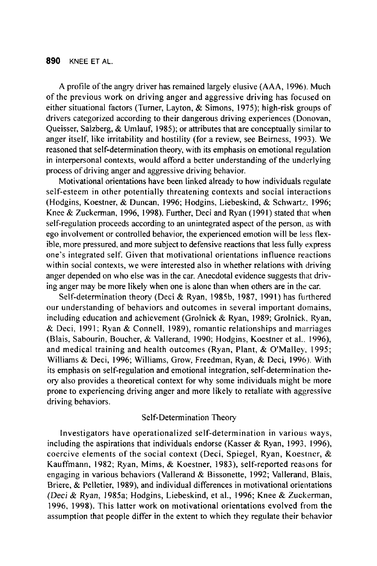A profile of the angry driver has remained largely elusive (AAA, 1996). Much of the previous work on driving anger and aggressive driving has focused on either situational factors (Turner, Layton, & Simons, 1975); high-risk groups of drivers categorized according to their dangerous driving experiences (Donovan, Queisser, Salzberg, & Umlauf, 1985); or attributes that are conceptually similar to anger itself, like irritability and hostility (for a review, see Beirness, 1993). We reasoned that self-determination theory, with its emphasis on emotional regulation in interpersonal contexts, would afford a better understanding of the underlying process of driving anger and aggressive driving behavior.

Motivational orientations have been linked already to how individuals regulate self-esteem in other potentially threatening contexts and social interactions (Hodgins, Koestner, & Duncan, 1996; Hodgins, Liebeskind, & Schwartz, 1996; Knee & Zuckerman, 1996, 1998). Further, Deci and Ryan (1991) stated that when self-regulation proceeds according to an unintegrated aspect of the person, as with ego involvement or controlled behavior, the experienced emotion will be less flexible, more pressured, and more subject to defensive reactions that less fully express one's integrated self. Given that motivational orientations influence reactions within social contexts, we were interested also in whether relations with driving anger depended on who else was in the car. Anecdotal evidence suggests that driving anger may be more likely when one is alone than when others are in the car.

Self-determination theory (Deci & Ryan, 1985b, 1987, 1991) has furthered our understanding of behaviors and outcomes in several important domains, including education and achievement (Grolnick & Ryan, 1989; Grolnick, Ryan, & Deci, 1991; Ryan & Connell, 1989), romantic relationships and marriages (Blais, Sabourin, Boucher, & Vallerand, 1990; Hodgins, Koestner et al.. 1996), and medical training and health outcomes (Ryan, Plant, & O'Malley, 1995; Williams & Deci, 1996; Williams, Grow, Freedman, Ryan, & Deci, 1996). With its emphasis on self-regulation and emotional integration, self-determination theory also provides a theoretical context for why some individuals might be more prone to experiencing driving anger and more likely to retaliate with aggressive driving behaviors.

#### Self-Determination Theory

Investigators have operationalized self-determination in various ways, including the aspirations that individuals endorse (Kasser & Ryan, 1993, 1996), coercive elements of the social context (Deci, Spiegel, Ryan, Koestner, & Kauffmann, 1982; Ryan, Mims, & Koestner, 1983), self-reported reasons for engaging in various behaviors (Vallerand & Bissonette, 1992; Vallerand, Blais, Briere, & Pelletier, 1989), and individual differences in motivational orientations (Deci & Ryan, 1985a; Hodgins, Liebeskind, et al., 1996; Knee & Zuckerman, 1996, 1998). This latter work on motivational orientations evolved from the assumption that people differ in the extent to which they regulate their behavior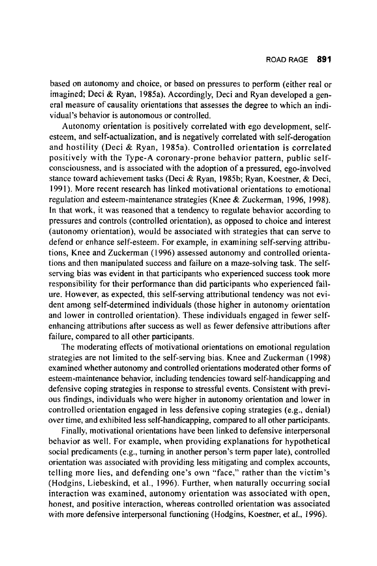based on autonomy and choice, or based on pressures to perform (either real or imagined; Deci & Ryan, 1985a). Accordingly, Deci and Ryan developed a general measure of causality orientations that assesses the degree to which an individual's behavior is autonomous or controlled.

Autonomy orientation is positively correlated with ego development, selfesteem, and self-actualization, and is negatively correlated with self-derogation and hostility (Deci & Ryan, 1985a). Controlled orientation is correlated positively with the Type-A coronary-prone behavior pattern, public selfconsciousness, and is associated with the adoption of a pressured, ego-involved stance toward achievement tasks (Deci & Ryan, 1985b; Ryan, Koestner, & Deci, 1991). More recent research has linked motivational orientations to emotional regulation and esteem-maintenance strategies (Knee & Zuckerman, 1996, 1998). In that work, it was reasoned that a tendency to regulate behavior according to pressures and controls (controlled orientation), as opposed to choice and interest (autonomy orientation), would be associated with strategies that can serve to defend or enhance self-esteem. For example, in examining self-serving attributions, Knee and Zuckerman (1996) assessed autonomy and controlled orientations and then manipulated success and failure on a maze-solving task. The selfserving bias was evident in that participants who experienced success took more responsibility for their performance than did participants who experienced failure. However, as expected, this self-serving attributional tendency was not evident among self-determined individuals (those higher in autonomy orientation and lower in controlled orientation). These individuals engaged in fewer selfenhancing attributions after success as well as fewer defensive attributions after failure, compared to all other participants.

The moderating effects of motivational orientations on emotional regulation strategies are not limited to the self-serving bias. Knee and Zuckerman (1998) examined whether autonomy and controlled orientations moderated other forms of esteem-maintenance behavior, including tendencies toward self-handicapping and defensive coping strategies in response to stressful events. Consistent with previous findings, individuals who were higher in autonomy orientation and lower in controlled orientation engaged in less defensive coping strategies (e.g., denial) over time, and exhibited less self-handicapping, compared to all other participants.

Finally, motivational orientations have been linked to defensive interpersonal behavior as well. For example, when providing explanations for hypothetical social predicaments (e.g., turning in another person's term paper late), controlled orientation was associated with providing less mitigating and complex accounts, telling more lies, and defending one's own "face," rather than the victim's (Hodgins, Liebeskind, et al., 1996). Further, when naturally occurring social interaction was examined, autonomy orientation was associated with open, honest, and positive interaction, whereas controlled orientation was associated with more defensive interpersonal functioning (Hodgins, Koestner, et al., 1996).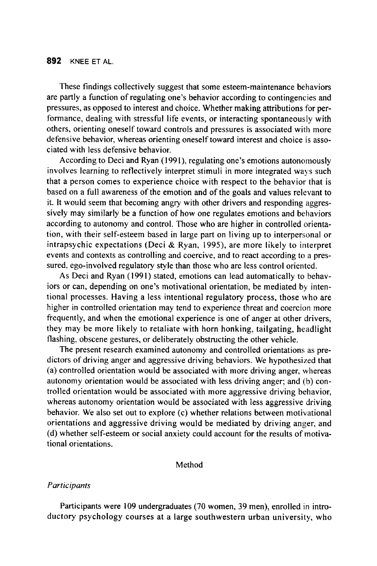These findings collectively suggest that some esteem-maintenance behaviors are partly a function of regulating one's behavior according to contingencies and pressures, as opposed to interest and choice. Whether making attributions for performance, dealing with stressful life events, or interacting spontaneously with others, orienting oneself toward controls and pressures is associated with more defensive behavior, whereas orienting oneself toward interest and choice is associated with less defensive behavior.

According to Deci and Ryan (1991), regulating one's emotions autonomously involves learning to reflectively interpret stimuli in more integrated ways such that a person comes to experience choice with respect to the behavior that is based on a full awareness of the emotion and of the goals and values relevant to it. It would seem that becoming angry with other drivers and responding aggressively may similarly be a function **of** how one regulates emotions and behaviors according to autonomy and control. Those who are higher in controlled orientation, with their self-esteem based in large part on living up to interpersonal or intrapsychic expectations (Deci & Ryan, 1995), are more likely to interpret events and contexts as controlling and coercive, and to react according to a pressured, ego-involved regulatory style than those who are less control oriented.

As Deci and Ryan (1991) stated, emotions can lead automatically to behaviors or can, depending on one's motivational orientation, be mediated by intentional processes. Having a less intentional regulatory process, those who are higher in controlled orientation may tend to experience threat and coercion more frequently, and when the emotional experience is one of anger at other drivers, they may be more likely to retaliate with horn honking, tailgating, headlight flashing, obscene gestures, or deliberately obstructing the other vehicle.

The present research examined autonomy and controlled orientations as predictors of driving anger and aggressive driving behaviors. We hypothesized that (a) controlled orientation would be associated with more driving anger, whereas autonomy orientation would be associated with less driving anger; and (b) controlled orientation would be associated with more aggressive driving behavior, whereas autonomy orientation would be associated with less aggressive driving behavior. We also set out to explore (c) whether relations between motivational orientations and aggressive driving would be mediated by driving anger, and (d) whether self-esteem or social anxiety could account for the results of motivational orientations.

#### Method

#### *Participants*

Participants were 109 undergraduates **(70** women, 39 men), enrolled in introductory psychology courses at a large southwestern urban university, who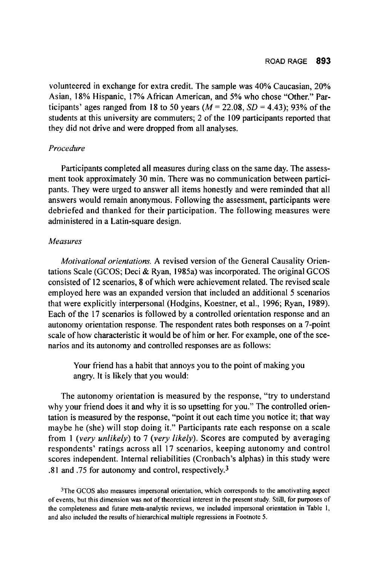volunteered in exchange for extra credit. The sample was 40% Caucasian, 20% Asian, 18% Hispanic, 17% African American, and 5% who chose "Other." Participants' ages ranged from 18 to 50 years ( $M = 22.08$ ,  $SD = 4.43$ ); 93% of the students at this university are commuters; 2 of the 109 participants reported that they did not drive and were dropped from all analyses.

### *Procedure*

Participants completed all measures during class on the same day. The assessment took approximately 30 min. There was no communication between participants. They were urged to answer all items honestly and were reminded that all answers would remain anonymous. Following the assessment, participants were debriefed and thanked for their participation. The following measures were administered in a Latin-square design.

### *Measures*

*Motivational orientations.* A revised version of the General Causality Orientations Scale (GCOS; Deci & Ryan, 1985a) was incorporated. The original GCOS consisted of 12 scenarios, 8 of which were achievement related. The revised scale employed here was an expanded version that included an additional *5* scenarios that were explicitly interpersonal (Hodgins, Koestner, et al., 1996; Ryan, 1989). Each of the 17 scenarios is followed by a controlled orientation response and an autonomy orientation response. The respondent rates both responses on a 7-point scale of how characteristic it would be of him or her. For example, one of the scenarios and its autonomy and controlled responses are as follows:

Your friend has a habit that annoys you to the point of making you angry. It is likely that you would:

The autonomy orientation is measured by the response, "try to understand why your friend does it and why it is so upsetting for you." The controlled orientation is measured by the response, "point it out each time you notice it; that way maybe he (she) will stop doing it." Participants rate each response on a scale from 1 *(very unlikely)* to 7 *(very likely).* Scores are computed by averaging respondents' ratings across all 17 scenarios, keeping autonomy and control scores independent. Internal reliabilities (Cronbach's alphas) in this study were .81 and *75* for autonomy and control, respectively.3

**3The GCOS also measures impersonal orientation, which corresponds to the amotivating aspect of events, but this dimension was not** of **theoretical interest in the present study. Still, for purposes** of **the completeness and future meta-analytic reviews, we included impersonal orientation in Table I, and also included the results** of **hierarchical multiple regressions in Footnote 5.**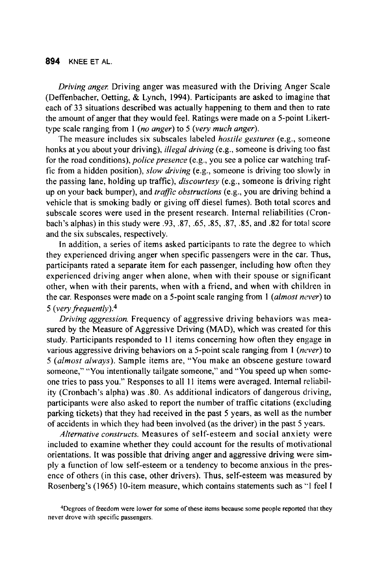*Driving anger:* Driving anger was measured with the Driving Anger Scale (Deffenbacher, Oetting, & Lynch, **1994).** Participants are asked to imagine that each of **33** situations described was actually happening to them and then to rate the amount of anger that they would feel. Ratings were made on a 5-point Likerttype scale ranging from **1** *(no anger)* to *5 (very much anger).* 

The measure includes six subscales labeled *hostile gestures* (e.g., someone honks at you about your driving), *illegal driving* (e.g., someone is driving too fast for the road conditions), *police presence* (e.g., you see a police car watching traffic from a hidden position), *slow driving* (e.g., someone is driving too slowly in the passing lane, holding up traffic), *discourtesy* (e.g., someone is driving right up on your back bumper), and *traflc obstructions* (e.g., you are driving behind a vehicle that is smoking badly or giving off diesel fumes). Both total scores and subscale scores were used in the present research. Internal reliabilities (Cronbach's alphas) in this study were **.93,** *37, .65, 35,* **-87,** *.85,* and **.82** for total score and the six subscales, respectively.

In addition, a series of items asked participants to rate the degree to which they experienced driving anger when specific passengers were in the car. Thus, participants rated a separate item for each passenger, including how often they experienced driving anger when alone, when with their spouse or significant other, when with their parents, when with a friend, and when with children in the car. Responses were made on a 5-point scale ranging from 1 *(almost never)* to 5 (very frequently).<sup>4</sup>

*Driving aggression.* Frequency of aggressive driving behaviors was measured by the Measure of Aggressive Driving (MAD), which was created for this study. Participants responded to 11 items concerning how often they engage in various aggressive driving behaviors on a 5-point scale ranging from **1** *(never)* to *5 (almost always).* Sample items are, "You make an obscene gesture toward someone," "You intentionally tailgate someone," and "You speed up when someone tries to pass you." Responses to all 11 items were averaged. Internal reliability (Cronbach's alpha) was *30.* **As** additional indicators of dangerous driving, participants were also asked to report the number of traffic citations (excluding parking tickets) that they had received in the past 5 years, as well as the number of accidents in which they had been involved (as the driver) in the past 5 years.

*Alternative constructs.* Measures of self-esteem and social anxiety were included to examine whether they could account for the results of motivational orientations. It was possible that driving anger and aggressive driving were simply a function of low self-esteem or a tendency to become anxious in the presence of others (in this case, other drivers). Thus, self-esteem was measured by Rosenberg's (1965) 10-item measure, which contains statements such as "I feel **<sup>I</sup>**

**<sup>4</sup>Degrees of freedom were lower for some of these items because some people reported that they never drove with specific passengers.**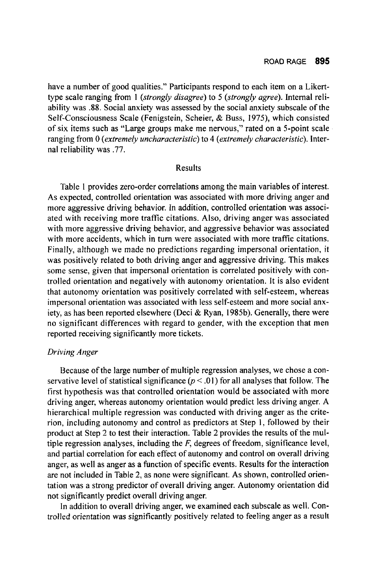have a number of good qualities." Participants respond to each item on a Likerttype scale ranging from 1 *(strongly disagree)* to 5 *(strongly agree).* Internal reliability was **.88.** Social anxiety was assessed by the social anxiety subscale of the Self-Consciousness Scale (Fenigstein, Scheier, & Buss, **I975),** which consisted of six items such as "Large groups make me nervous," rated on a 5-point scale ranging from 0 *(extremely uncharacteristic)* to 4 *(extremely characteristic).* Internal reliability was **.77.** 

### Results

Table **1** provides zero-order correlations among the main variables of interest. As expected, controlled orientation was associated with more driving anger and more aggressive driving behavior. In addition, controlled orientation was associated with receiving more traffic citations. Also, driving anger was associated with more aggressive driving behavior, and aggressive behavior was associated with more accidents, which in turn were associated with more traffic citations. Finally, although we made no predictions regarding impersonal orientation, it was positively related to both driving anger and aggressive driving. This makes some sense, given that impersonal orientation is correlated positively with controlled orientation and negatively with autonomy orientation. It is also evident that autonomy orientation was positively correlated with self-esteem, whereas impersonal orientation was associated with less self-esteem and more social anxiety, as has been reported elsewhere (Deci & Ryan, 1985b). Generally, there were no significant differences with regard to gender, with the exception that men reported receiving significantly more tickets.

### *Driving Anger*

Because of the large number of multiple regression analyses, we chose a conservative level of statistical significance ( $p < .01$ ) for all analyses that follow. The first hypothesis was that controlled orientation would be associated with more driving anger, whereas autonomy orientation would predict less driving anger. A hierarchical multiple regression was conducted with driving anger as the criterion, including autonomy and control as predictors at Step **1,** followed by their product at Step 2 to test their interaction. Table 2 provides the results of the multiple regression analyses, including the *F,* degrees of freedom, significance level, and partial correlation for each effect of autonomy and control on overall driving anger, as well as anger as a function of specific events. Results for the interaction are not included in Table 2, as none were significant. **As** shown, controlled orientation was a strong predictor of overall driving anger. Autonomy orientation did not significantly predict overall driving anger.

In addition to overall driving anger, we examined each subscale as well. Controlled orientation was significantly positively related to feeling anger as a result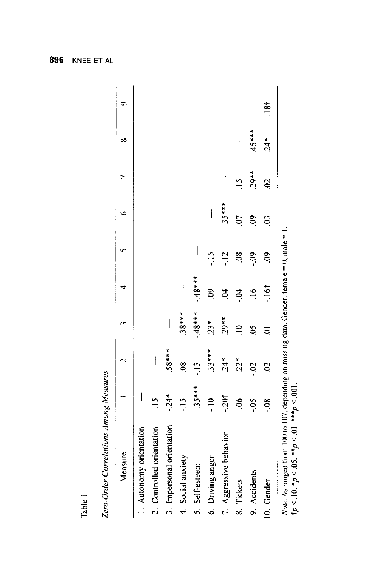| Measure                   |                  |                 |                          |                |         | ७                   |                          | ∝       | ᢦ                        |
|---------------------------|------------------|-----------------|--------------------------|----------------|---------|---------------------|--------------------------|---------|--------------------------|
| 1. Autonomy orientation   |                  |                 |                          |                |         |                     |                          |         |                          |
| 2. Controlled orientation | $\overline{.}15$ | $\bigg $        |                          |                |         |                     |                          |         |                          |
| 3. Impersonal orientation | $-24*$           | $.58***$        | $\overline{\phantom{a}}$ |                |         |                     |                          |         |                          |
| 4. Social anxiety         | $\frac{5}{1}$    | $\frac{8}{2}$   | $.38***$                 | İ              |         |                     |                          |         |                          |
| 5. Self-esteem            | $.35***$         | $\frac{13}{2}$  | $-48$ ***                | $***8 + .48$   | $\vert$ |                     |                          |         |                          |
| 6. Driving anger          | $\frac{1}{2}$    | $.33***$        | $23*$                    | $\overline{6}$ | - 15    | $\bigg $            |                          |         |                          |
| 7. Aggressive behavior    | $-20†$           | $24*$           | $.29**$                  | $\overline{5}$ |         | $35***$             | $\overline{\phantom{a}}$ |         |                          |
| 8. Tickets                | $\mathcal{S}$    | $22*$           | $\frac{1}{2}$            | $\ddot{9}$     | 8Ò      | $\overline{0}$ .    | $\frac{5}{1}$            |         |                          |
| 9. Accidents              | 50.              | 50 <sup>7</sup> | 0 <sup>5</sup>           | $\frac{6}{1}$  | .09     | $\ddot{\mathrm{S}}$ | $29**$                   | $45***$ | $\overline{\phantom{a}}$ |
| 10. Gender                | .08              | S               | $\overline{a}$           | $-161$         | Sò      | So.                 | S,                       | $24*$   | $\frac{18}{18}$          |

| i        |
|----------|
| くさい こうこう |
| :        |
| ţ        |
|          |
|          |

Table 1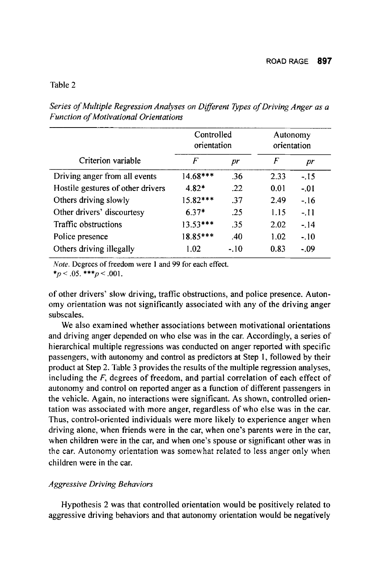### Table 2

|                                   | Controlled<br>orientation |        | Autonomy<br>orientation |        |
|-----------------------------------|---------------------------|--------|-------------------------|--------|
| Criterion variable                | F                         | pr     | F                       | pr     |
| Driving anger from all events     | $14.68***$                | .36    | 2.33                    | $-15$  |
| Hostile gestures of other drivers | $4.82*$                   | .22    | 0.01                    | $-01$  |
| Others driving slowly             | $15.82***$                | .37    | 2.49                    | $-16$  |
| Other drivers' discourtesy        | $6.37*$                   | .25    | 1.15                    | $-11$  |
| Traffic obstructions              | $13.53***$                | .35    | 2.02                    | $-.14$ |
| Police presence                   | 18.85***                  | .40    | 1.02                    | $-10$  |
| Others driving illegally          | 1.02                      | $-.10$ | 0.83                    | $-09$  |

*Series of MuItipIe Regression Analyses on Diflerent Types of Driving Anger as a Function of Motivational Orientations* 

*Note.* Degrees of freedom **were 1** and **99** for **each effect.** 

 $*_{p}$  < .05.  $***_{p}$  < .001.

of other drivers' slow driving, traffic obstructions, and police presence. Autonomy orientation was not significantly associated with any of the driving anger subscales.

We also examined whether associations between motivational orientations and driving anger depended on who else was in the car. Accordingly, a series of hierarchical multiple regressions was conducted on anger reported with specific passengers, with autonomy and control as predictors at Step 1, followed by their product at Step 2. Table 3 provides the results of the multiple regression analyses, including the *F,* degrees of freedom, and partial correlation of each effect of autonomy and control on reported anger as a function of different passengers in the vehicle. Again, no interactions were significant. **As** shown, controlled orientation was associated with more anger, regardless of who else was in the car. Thus, control-oriented individuals were more likely to experience anger when driving alone, when friends were in the car, when one's parents were in the car, when children were in the car, and when one's spouse or significant other was in the car. Autonomy orientation was somewhat related to less anger only when children were in the car.

### *Aggressive Driving Behaviors*

Hypothesis 2 was that controlled orientation would be positively related to aggressive driving behaviors and that autonomy orientation would be negatively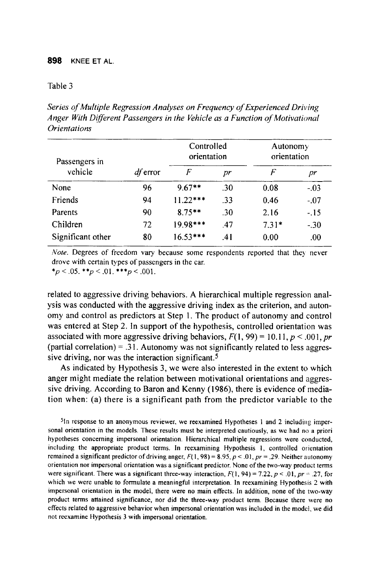#### Table 3

*Series of Multiple Regression Analyses on Frequency of Experienced Driving Anger With Different Passengers in the Yehicle as a Function of Motivational Orientations* 

| Passengers in<br>vehicle |                 | Controlled<br>orientation |     | Autonomy<br>orientation |        |
|--------------------------|-----------------|---------------------------|-----|-------------------------|--------|
|                          | <i>df</i> error | F                         | pr  | F                       | pr     |
| None                     | 96              | $9.67**$                  | .30 | 0.08                    | $-.03$ |
| Friends                  | 94              | $11.22***$                | .33 | 0.46                    | $-.07$ |
| Parents                  | 90              | $8.75**$                  | .30 | 2.16                    | $-.15$ |
| Children                 | 72              | 19.98***                  | .47 | $7.31*$                 | $-.30$ |
| Significant other        | 80              | $16.53***$                | .41 | 0.00                    | .00    |

*Note.* Degrees of freedom vary because some respondents reported that they never drove with certain types of passengers in the car.

*\*p* < *.05. \*\*p* < .01. *\*\*\*p* < .001.

related to aggressive driving behaviors. **A** hierarchical multiple regression analysis was conducted with the aggressive driving index as the criterion, and autonomy and control as predictors at Step 1. The product of autonomy and control was entered at Step 2. In support of the hypothesis, controlled orientation was associated with more aggressive driving behaviors,  $F(1, 99) = 10.11$ ,  $p < .001$ , pr (partial correlation) = .3 **1.** Autonomy was not significantly related to less aggressive driving, nor was the interaction significant.<sup>5</sup>

**As** indicated by Hypothesis 3, we were also interested in the extent to which anger might mediate the relation between motivational orientations and aggressive driving. According to Baron and Kenny **(1** 986), there is evidence of mediation when: (a) there is a significant path from the predictor variable to the

<sup>5</sup>In response to an anonymous reviewer, we reexamined Hypotheses I and 2 including impersonal orientation in the models. These results must be interpreted cautiously, as we had no a priori hypotheses concerning impersonal orientation. Hierarchical multiple regressions were conducted, including the appropriate product terms. In reexamining Hypothesis I, controlled orientation remained a significant predictor of driving anger,  $F(1, 98) = 8.95$ ,  $p < .01$ ,  $pr = .29$ . Neither autonomy orientation nor impersonal orientation was a significant predictor. None of the two-way product terms were significant. There was a significant three-way interaction,  $F(1, 94) = 7.22, p < .01, pr = .27$ , for which we were unable to formulate a meaningful interpretation. In reexamining Hypothesis 2 with impersonal orientation in the model, there were no main effects. In addition, none of the two-way product terms attained significance, nor did the three-way product term. Because there were no effects related to aggressive behavior when impersonal orientation was included in the model, we did not reexamine Hypothesis 3 with impersonal orientation.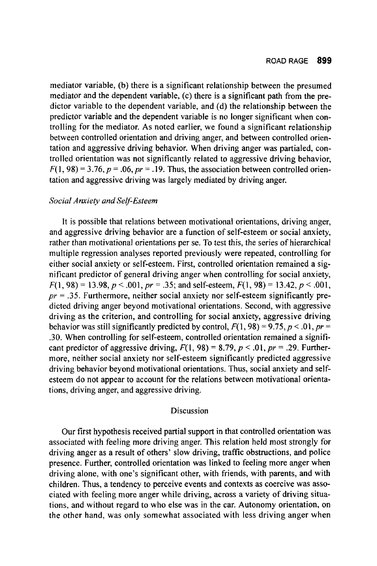mediator variable, (b) there is a significant relationship between the presumed mediator and the dependent variable, (c) there is a significant path from the predictor variable to the dependent variable, and (d) the relationship between the predictor variable and the dependent variable is no longer significant when controlling for the mediator. As noted earlier, we found a significant relationship between controlled orientation and driving anger, and between controlled orientation and aggressive driving behavior. When driving anger was partialed, controlled orientation was not significantly related to aggressive driving behavior,  $F(1, 98) = 3.76$ ,  $p = .06$ ,  $pr = .19$ . Thus, the association between controlled orientation and aggressive driving was largely mediated by driving anger.

### *Social Anxiety and Self-Esteem*

It is possible that relations between motivational orientations, driving anger, and aggressive driving behavior are a function of self-esteem or social anxiety, rather than motivational orientations per se. To test this, the series of hierarchical multiple regression analyses reported previously were repeated, controlling for either social anxiety or self-esteem. First, controlled orientation remained a significant predictor of general driving anger when controlling for social anxiety,  $F(1, 98) = 13.98$ ,  $p < .001$ ,  $pr = .35$ ; and self-esteem,  $F(1, 98) = 13.42$ ,  $p < .001$ ,  $pr = 0.35$ . Furthermore, neither social anxiety nor self-esteem significantly predicted driving anger beyond motivational orientations. Second, with aggressive driving as the criterion, and controlling for social anxiety, aggressive driving behavior was still significantly predicted by control,  $F(1, 98) = 9.75$ ,  $p < .01$ ,  $pr =$ .30. When controlling for self-esteem, controlled orientation remained a significant predictor of aggressive driving,  $F(1, 98) = 8.79$ ,  $p < .01$ ,  $pr = .29$ . Furthermore, neither social anxiety nor self-esteem significantly predicted aggressive driving behavior beyond motivational orientations. Thus, social anxiety and selfesteem do not appear to account for the relations between motivational orientations, driving anger, and aggressive driving.

#### Discussion

Our first hypothesis received partial support in that controlled orientation was associated with feeling more driving anger. This relation held most strongly for driving anger as a result of others' slow driving, traffic obstructions, and police presence. Further, controlled orientation was linked to feeling more anger when driving alone, with one's significant other, with friends, with parents, and with children. Thus, a tendency to perceive events and contexts as coercive was associated with feeling more anger while driving, across a variety of driving situations, and without regard to who else was in the car. Autonomy orientation, on the other hand, was only somewhat associated with less driving anger when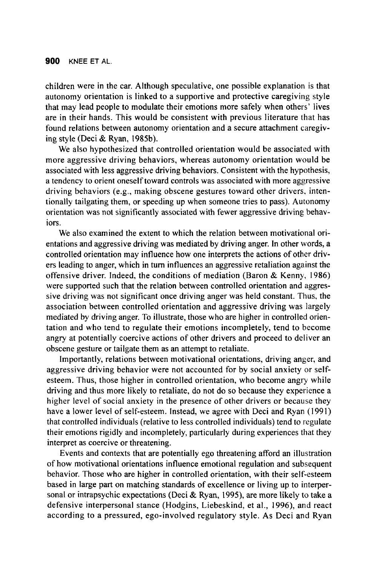children were in the car. Although speculative, one possible explanation is that autonomy orientation is linked to a supportive and protective caregiving style that may lead people to modulate their emotions more safely when others' lives are in their hands. This would be consistent with previous literature that has found relations between autonomy orientation and a secure attachment caregiving style (Deci & Ryan, 1985b).

We also hypothesized that controlled orientation would be associated with more aggressive driving behaviors, whereas autonomy orientation would be associated with less aggressive driving behaviors. Consistent with the hypothesis, a tendency to orient oneself toward controls was associated with more aggressive driving behaviors (e.g., making obscene gestures toward other drivers, intentionally tailgating them, or speeding up when someone tries to pass). Autonomy orientation was not significantly associated with fewer aggressive driving behaviors.

We also examined the extent to which the relation between motivational orientations and aggressive driving was mediated by driving anger. In other words, a controlled orientation may influence how one interprets the actions of other drivers leading to anger, which in turn influences an aggressive retaliation against the offensive driver. Indeed, the conditions of mediation (Baron & Kenny, 1986) were supported such that the relation between controlled orientation and aggressive driving was not significant once driving anger was held constant. Thus, the association between controlled orientation and aggressive driving was largely mediated by driving anger. To illustrate, those who are higher in controlled orientation and who tend to regulate their emotions incompletely, tend to become angry at potentially coercive actions of other drivers and proceed to deliver an obscene gesture or tailgate them as an attempt to retaliate.

Importantly, relations between motivational orientations, driving anger, and aggressive driving behavior were not accounted for by social anxiety or selfesteem. Thus, those higher in controlled orientation, who become angry while driving and thus more likely to retaliate, do not do so because they experience a higher level of social anxiety in the presence of other drivers or because they have a lower level of self-esteem. Instead, we agree with Deci and Ryan (1991) that controlled individuals (relative to less controlled individuals) tend to regulate their emotions rigidly and incompletely, particularly during experiences that they interpret as coercive or threatening.

Events and contexts that are potentially ego threatening afford an illustration of how motivational orientations influence emotional regulation and subsequent behavior. Those who are higher in controlled orientation, with their self-esteem based in large part on matching standards of excellence or living up to interpersonal or intrapsychic expectations (Deci & Ryan, 1995), are more likely to take a defensive interpersonal stance (Hodgins, Liebeskind, et al., 1996), and react according to a pressured, ego-involved regulatory style. **As** Deci and Ryan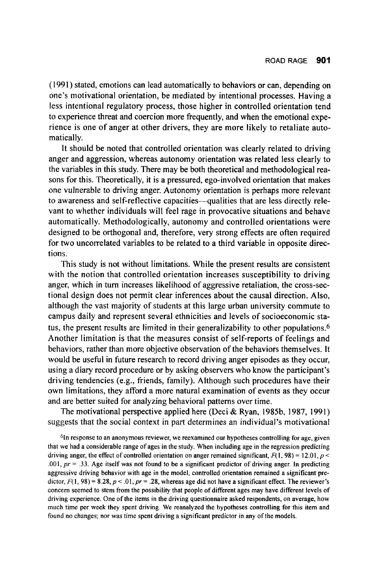(1991) stated, emotions can lead automatically to behaviors or can, depending on one's motivational orientation, be mediated by intentional processes. Having a less intentional regulatory process, those higher in controlled orientation tend to experience threat and coercion more frequently, and when the emotional experience is one of anger at other drivers, they are more likely to retaliate automatically.

It should be noted that controlled orientation was clearly related to driving anger and aggression, whereas autonomy orientation was related less clearly to the variables in this study. There may be both theoretical and methodological reasons for this. Theoretically, it **is** a pressured, ego-involved orientation that makes one vulnerable to driving anger. Autonomy orientation is perhaps more relevant to awareness and self-reflective capacities-qualities that are less directly relevant to whether individuals will feel rage in provocative situations and behave automatically. Methodologically, autonomy and controlled orientations were designed to be orthogonal and, therefore, very strong effects are often required for two uncorrelated variables to be related to a third variable in opposite directions.

This study is not without limitations. While the present results are consistent with the notion that controlled orientation increases susceptibility to driving anger, which in turn increases likelihood of aggressive retaliation, the cross-sectional design does not permit clear inferences about the causal direction. Also, although the vast majority of students at this large urban university commute to campus daily and represent several ethnicities and levels of socioeconomic status, the present results are limited in their generalizability to other populations.6 Another limitation is that the measures consist of self-reports of feelings and behaviors, rather than more objective observation of the behaviors themselves. It would be useful in future research to record driving anger episodes as they occur, using a diary record procedure or by asking observers who know the participant's driving tendencies (e.g., friends, family). Although such procedures have their own limitations, they afford a more natural examination of events as they occur and are better suited for analyzing behavioral patterns over time.

The motivational perspective applied here (Deci & Ryan, 1985b, 1987, 1991) suggests that the social context in part determines an individual's motivational

<sup>6</sup>In response to an anonymous reviewer, we reexamined our hypotheses controlling for age, given that we had a considerable range of ages in the study. When including age in the regression predicting driving anger, the effect of controlled orientation on anger remained significant, *F(* **I, 98)** = **12.01,** *p* <  $.001$ ,  $pr = .33$ . Age itself was not found to be a significant predictor of driving anger. In predicting aggressive driving behavior with age in the model, controlled orientation remained a significant predictor,  $F(1, 98) = 8.28$ ,  $p < .01$ ,  $pr = .28$ , whereas age did not have a significant effect. The reviewer's concern seemed to stem from the possibility that people of different ages may have different levels of driving experience. One of the items in the driving questionnaire asked respondents, on average, how much time per week they spent driving. We reanalyzed the hypotheses controlling for this item and found no changes; nor was time spent driving a significant predictor in any of the models.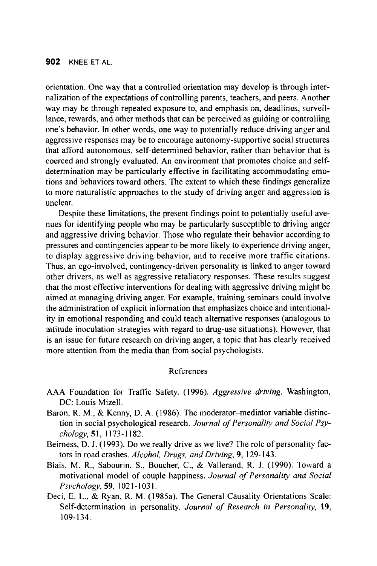orientation. One way that a controlled orientation may develop is through internalization of the expectations of controlling parents, teachers, and peers. Another way may be through repeated exposure to, and emphasis on, deadlines, surveillance, rewards, and other methods that can be perceived as guiding or controlling one's behavior. In other words, one way to potentially reduce driving anger and aggressive responses may be to encourage autonomy-supportive social structures that afford autonomous, self-determined behavior, rather than behavior that is coerced and strongly evaluated. An environment that promotes choice and selfdetermination may be particularly effective in facilitating accommodating emotions and behaviors toward others. The extent to which these findings generalize to more naturalistic approaches to the study of driving anger and aggression is unclear.

Despite these limitations, the present findings point to potentially useful avenues for identifying people who may be particularly susceptible to driving anger and aggressive driving behavior. Those who regulate their behavior according to pressures and contingencies appear to be more likely to experience driving anger, to display aggressive driving behavior, and to receive more traffic citations. Thus, an ego-involved, contingency-driven personality is linked **to** anger toward other drivers, as well as aggressive retaliatory responses. These results suggest that the most effective interventions for dealing with aggressive driving might be aimed at managing driving anger. For example, training seminars could involve the administration of explicit information that emphasizes choice and intentionality in emotional responding and could teach alternative responses (analogous to attitude inoculation strategies with regard to drug-use situations). However, that is an issue for future research on driving anger, a topic that has clearly received more attention from the media than from social psychologists.

#### References

- AAA Foundation for Traffic Safety. (1996). Aggressive driving. Washington, DC: Louis Mizell.
- Baron, R. M., & Kenny, D. A. (1986). The moderator-mediator variable distinction in social psychological research. *Journal* of *Personality and Social Psycholoa,* **51,** 1173-1182.
- Beirness, D. **J.** (1993). Do we really drive as we live? The role of personality factors in road crashes. *Alcohol, Drugs, and Driving,* **9,** 129-143.
- Blais, M. R., Sabourin, S., Boucher, C., & Vallerand, R. J. (1990). Toward a motivational model of couple happiness. *Journal* of *Personality and Social PS~C~O~OD, 59,* 102 **1** -I 03 1.
- Deci, E. **L.,** & Ryan, R. **M.** (1985a). The General Causality Orientations Scale: Self-determination in personality. *Journal* of *Research in Personality,* **19,**  109-134.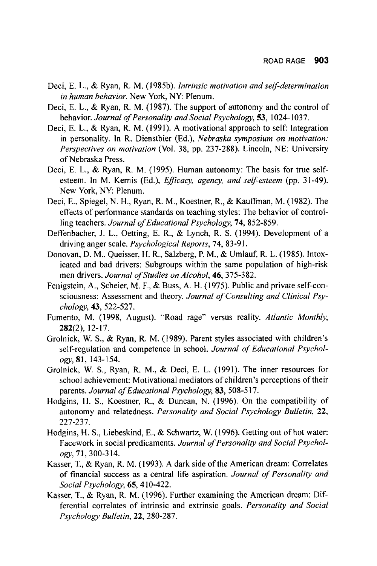- Deci, E. L., & Ryan, R. M. (1985b). *Intrinsic motivation and self-determination in human behavior.* New York, NY: Plenum.
- Deci, E. L., & Ryan, R. **M. (1987).** The support of autonomy and the control of behavior. *Journal of Personality and Social Psychology,* **53, 1024- 1037.**
- Deci, E. L., & Ryan, R. M. (1991). A motivational approach to self: Integration in personality. In R. Dienstbier (Ed.), *Nebraska symposium on motivation: Perspectives on motivation* (Vol. **38,** pp. **237-288).** Lincoln, NE: University of Nebraska Press.
- Deci, **E.** L., & Ryan, R. M. **(1995).** Human autonomy: The basis for true selfesteem. In M. Kernis (Ed.), *Efficacy, agency, and self-esteem* (pp. 31-49). New York, NY: Plenum.
- Deci, **E.,** Spiegel, N. H., Ryan, R. **M.,** Koestner, R., & Kauffman, **M. (1982).** The effects of performance standards on teaching styles: The behavior of controlling teachers. *Journal of Educational Psychology,* **74, 852-859.**
- Deffenbacher, **J.** L., Oetting, E. R., & Lynch, R. **S. (1994).** Development of a driving anger scale. *Psychological Reports,* **74,83-91.**
- Donovan, D. **M.,** Queisser, H. R., Salzberg, P. M., & Umlauf, R. L. **(1985).** Intoxicated and bad drivers: Subgroups within the same population of high-risk men drivers. *Journal of Studies on Alcohol,* **46, 375-382.**
- Fenigstein, **A.,** Scheier, M. F., & Buss, **A.** H. **(1975).** Public and private self-consciousness: Assessment and theory. *Journal of Consulting and Clinical Psychology,* **43, 522-527.**
- Fumento, M. (1998, August). "Road rage" versus reality. Atlantic Monthly, **282(2), 12- 17.**
- Grolnick, W. **S.,** & Ryan, R. M. **(1989).** Parent styles associated with children's self-regulation and competence in school. *Journal of Educational Psychology,* **81, 143-154.**
- Grolnick, W. **S.,** Ryan, R. M., & Deci, E. L. **(1991).** The inner resources for school achievement: Motivational mediators of children's perceptions of their parents. *Journal of Educational Psychology,* **83, 508-5 17.**
- Hodgins, H. **S.,** Koestner, R., & Duncan, N. **(1996).** On the compatibility of autonomy and relatedness. *Personality and Social Psychology Bulletin,* **22, 227-237.**
- Hodgins, H. **S.,** Liebeskind, E., & Schwartz, W. **(1 996).** Getting out of hot water: Facework in social predicaments. *Journal of Personality and Social Psychology,* **71,300-314.**
- Kasser, T., & Ryan, R. M. (1 **993).** A dark side of the American dream: Correlates of financial success as a central life aspiration. *Journal of Personality and Social Psychology,* **65,4 10-422.**
- Kasser, **T.,** & Ryan, R. M. **(1996).** Further examining the American dream: Differential correlates of intrinsic and extrinsic goals. *Personality and Social Psychology Bulletin,* **22,280-287.**